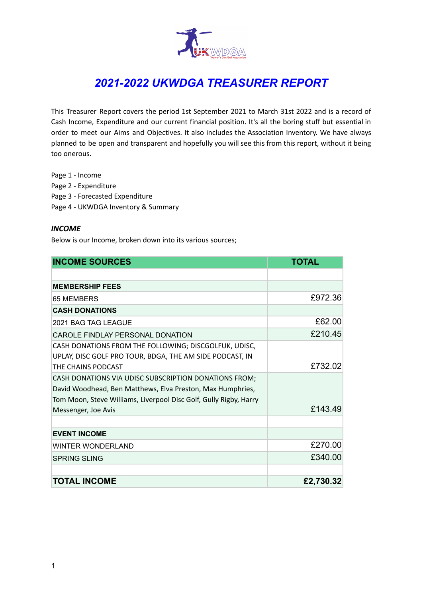

# *2021-2022 UKWDGA TREASURER REPORT*

This Treasurer Report covers the period 1st September 2021 to March 31st 2022 and is a record of Cash Income, Expenditure and our current financial position. It's all the boring stuff but essential in order to meet our Aims and Objectives. It also includes the Association Inventory. We have always planned to be open and transparent and hopefully you will see this from this report, without it being too onerous.

Page 1 - Income Page 2 - Expenditure Page 3 - Forecasted Expenditure Page 4 - UKWDGA Inventory & Summary

## *INCOME*

Below is our Income, broken down into its various sources;

| <b>INCOME SOURCES</b>                                             | <b>TOTAL</b> |
|-------------------------------------------------------------------|--------------|
|                                                                   |              |
| <b>MEMBERSHIP FEES</b>                                            |              |
| 65 MEMBERS                                                        | £972.36      |
| <b>CASH DONATIONS</b>                                             |              |
| 2021 BAG TAG LEAGUE                                               | £62.00       |
| CAROLE FINDLAY PERSONAL DONATION                                  | £210.45      |
| CASH DONATIONS FROM THE FOLLOWING; DISCGOLFUK, UDISC,             |              |
| UPLAY, DISC GOLF PRO TOUR, BDGA, THE AM SIDE PODCAST, IN          |              |
| THE CHAINS PODCAST                                                | £732.02      |
| CASH DONATIONS VIA UDISC SUBSCRIPTION DONATIONS FROM;             |              |
| David Woodhead, Ben Matthews, Elva Preston, Max Humphries,        |              |
| Tom Moon, Steve Williams, Liverpool Disc Golf, Gully Rigby, Harry |              |
| Messenger, Joe Avis                                               | £143.49      |
|                                                                   |              |
| <b>EVENT INCOME</b>                                               |              |
| <b>WINTER WONDERLAND</b>                                          | £270.00      |
| <b>SPRING SLING</b>                                               | £340.00      |
|                                                                   |              |
| <b>TOTAL INCOME</b>                                               | £2,730.32    |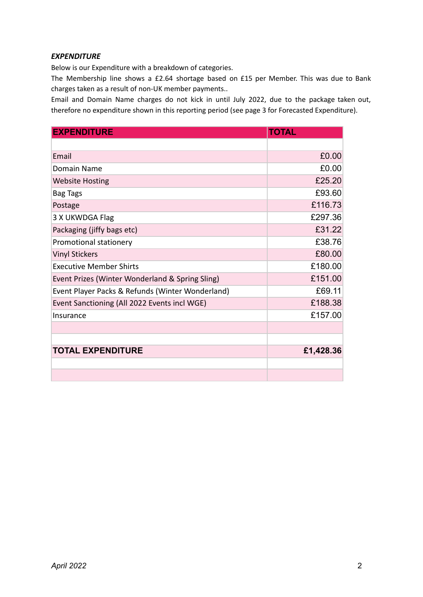## *EXPENDITURE*

Below is our Expenditure with a breakdown of categories.

The Membership line shows a £2.64 shortage based on £15 per Member. This was due to Bank charges taken as a result of non-UK member payments..

Email and Domain Name charges do not kick in until July 2022, due to the package taken out, therefore no expenditure shown in this reporting period (see page 3 for Forecasted Expenditure).

| <b>EXPENDITURE</b>                               | <b>TOTAL</b> |
|--------------------------------------------------|--------------|
|                                                  |              |
| Email                                            | £0.00        |
| Domain Name                                      | £0.00        |
| <b>Website Hosting</b>                           | £25.20       |
| <b>Bag Tags</b>                                  | £93.60       |
| Postage                                          | £116.73      |
| 3 X UKWDGA Flag                                  | £297.36      |
| Packaging (jiffy bags etc)                       | £31.22       |
| Promotional stationery                           | £38.76       |
| <b>Vinyl Stickers</b>                            | £80.00       |
| <b>Executive Member Shirts</b>                   | £180.00      |
| Event Prizes (Winter Wonderland & Spring Sling)  | £151.00      |
| Event Player Packs & Refunds (Winter Wonderland) | £69.11       |
| Event Sanctioning (All 2022 Events incl WGE)     | £188.38      |
| Insurance                                        | £157.00      |
|                                                  |              |
|                                                  |              |
| <b>TOTAL EXPENDITURE</b>                         | £1,428.36    |
|                                                  |              |
|                                                  |              |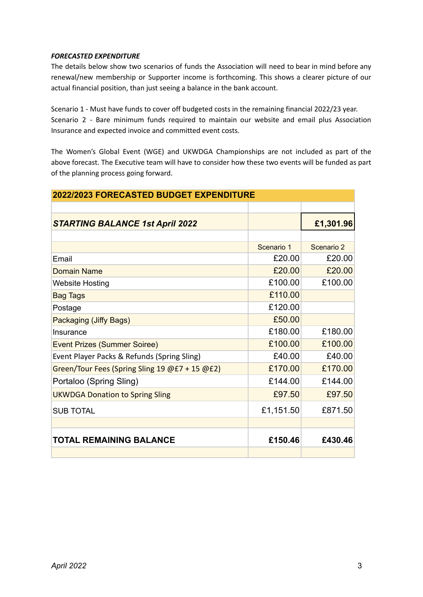#### *FORECASTED EXPENDITURE*

The details below show two scenarios of funds the Association will need to bear in mind before any renewal/new membership or Supporter income is forthcoming. This shows a clearer picture of our actual financial position, than just seeing a balance in the bank account.

Scenario 1 - Must have funds to cover off budgeted costs in the remaining financial 2022/23 year. Scenario 2 - Bare minimum funds required to maintain our website and email plus Association Insurance and expected invoice and committed event costs.

The Women's Global Event (WGE) and UKWDGA Championships are not included as part of the above forecast. The Executive team will have to consider how these two events will be funded as part of the planning process going forward.

| 2022/2023 FORECASTED BUDGET EXPENDITURE        |            |            |  |
|------------------------------------------------|------------|------------|--|
|                                                |            |            |  |
| <b>STARTING BALANCE 1st April 2022</b>         |            | £1,301.96  |  |
|                                                |            |            |  |
|                                                | Scenario 1 | Scenario 2 |  |
| Email                                          | £20.00     | £20.00     |  |
| <b>Domain Name</b>                             | £20.00     | £20.00     |  |
| <b>Website Hosting</b>                         | £100.00    | £100.00    |  |
| <b>Bag Tags</b>                                | £110.00    |            |  |
| Postage                                        | £120.00    |            |  |
| Packaging (Jiffy Bags)                         | £50.00     |            |  |
| Insurance                                      | £180.00    | £180.00    |  |
| <b>Event Prizes (Summer Soiree)</b>            | £100.00    | £100.00    |  |
| Event Player Packs & Refunds (Spring Sling)    | £40.00     | £40.00     |  |
| Green/Tour Fees (Spring Sling 19 @£7 + 15 @£2) | £170.00    | £170.00    |  |
| Portaloo (Spring Sling)                        | £144.00    | £144.00    |  |
| <b>UKWDGA Donation to Spring Sling</b>         | £97.50     | £97.50     |  |
| <b>SUB TOTAL</b>                               | £1,151.50  | £871.50    |  |
|                                                |            |            |  |
| <b>TOTAL REMAINING BALANCE</b>                 | £150.46    | £430.46    |  |
|                                                |            |            |  |